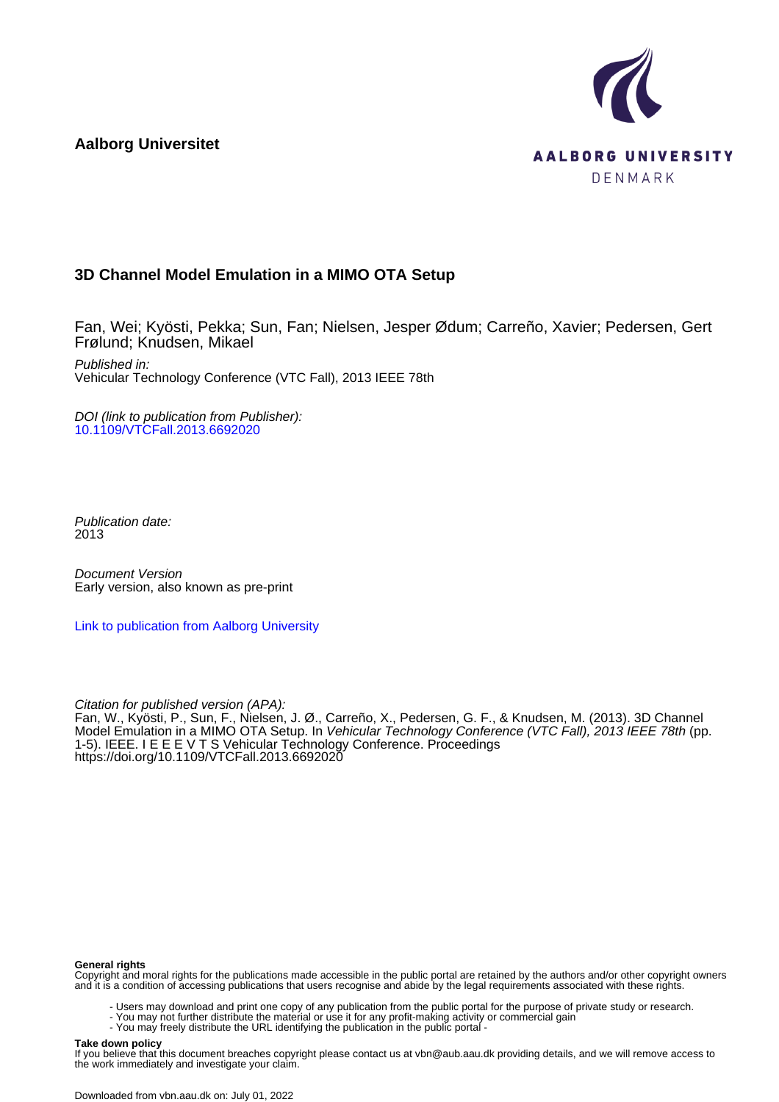**Aalborg Universitet**



# **3D Channel Model Emulation in a MIMO OTA Setup**

Fan, Wei; Kyösti, Pekka; Sun, Fan; Nielsen, Jesper Ødum; Carreño, Xavier; Pedersen, Gert Frølund; Knudsen, Mikael

Published in: Vehicular Technology Conference (VTC Fall), 2013 IEEE 78th

DOI (link to publication from Publisher): [10.1109/VTCFall.2013.6692020](https://doi.org/10.1109/VTCFall.2013.6692020)

Publication date: 2013

Document Version Early version, also known as pre-print

[Link to publication from Aalborg University](https://vbn.aau.dk/en/publications/5d028230-6fea-49b8-854f-b8f8aba587ac)

Citation for published version (APA):

Fan, W., Kyösti, P., Sun, F., Nielsen, J. Ø., Carreño, X., Pedersen, G. F., & Knudsen, M. (2013). 3D Channel Model Emulation in a MIMO OTA Setup. In Vehicular Technology Conference (VTC Fall), 2013 IEEE 78th (pp. 1-5). IEEE. I E E E V T S Vehicular Technology Conference. Proceedings <https://doi.org/10.1109/VTCFall.2013.6692020>

#### **General rights**

Copyright and moral rights for the publications made accessible in the public portal are retained by the authors and/or other copyright owners and it is a condition of accessing publications that users recognise and abide by the legal requirements associated with these rights.

- Users may download and print one copy of any publication from the public portal for the purpose of private study or research.
- You may not further distribute the material or use it for any profit-making activity or commercial gain
	- You may freely distribute the URL identifying the publication in the public portal -

#### **Take down policy**

If you believe that this document breaches copyright please contact us at vbn@aub.aau.dk providing details, and we will remove access to the work immediately and investigate your claim.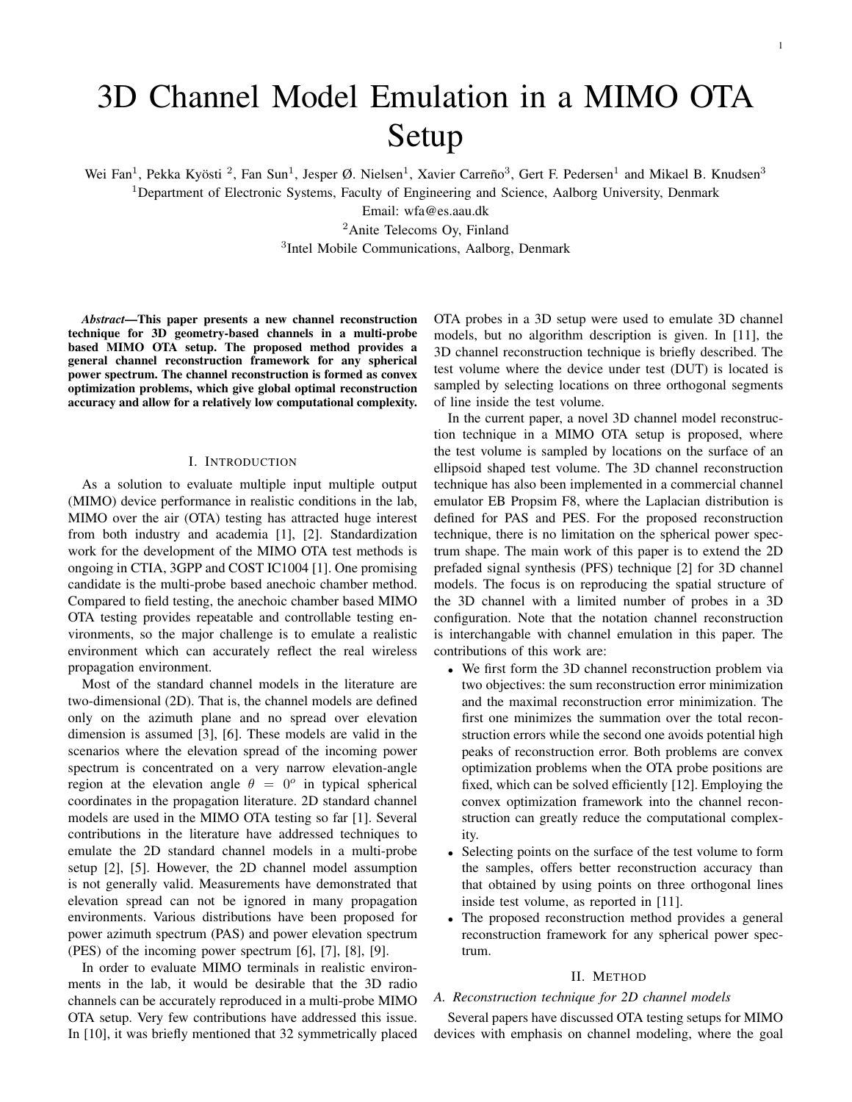# 3D Channel Model Emulation in a MIMO OTA Setup

Wei Fan<sup>1</sup>, Pekka Kyösti<sup>2</sup>, Fan Sun<sup>1</sup>, Jesper Ø. Nielsen<sup>1</sup>, Xavier Carreño<sup>3</sup>, Gert F. Pedersen<sup>1</sup> and Mikael B. Knudsen<sup>3</sup>

<sup>1</sup>Department of Electronic Systems, Faculty of Engineering and Science, Aalborg University, Denmark

Email: wfa@es.aau.dk

<sup>2</sup>Anite Telecoms Oy, Finland

3 Intel Mobile Communications, Aalborg, Denmark

*Abstract*—This paper presents a new channel reconstruction technique for 3D geometry-based channels in a multi-probe based MIMO OTA setup. The proposed method provides a general channel reconstruction framework for any spherical power spectrum. The channel reconstruction is formed as convex optimization problems, which give global optimal reconstruction accuracy and allow for a relatively low computational complexity.

#### I. INTRODUCTION

As a solution to evaluate multiple input multiple output (MIMO) device performance in realistic conditions in the lab, MIMO over the air (OTA) testing has attracted huge interest from both industry and academia [1], [2]. Standardization work for the development of the MIMO OTA test methods is ongoing in CTIA, 3GPP and COST IC1004 [1]. One promising candidate is the multi-probe based anechoic chamber method. Compared to field testing, the anechoic chamber based MIMO OTA testing provides repeatable and controllable testing environments, so the major challenge is to emulate a realistic environment which can accurately reflect the real wireless propagation environment.

Most of the standard channel models in the literature are two-dimensional (2D). That is, the channel models are defined only on the azimuth plane and no spread over elevation dimension is assumed [3], [6]. These models are valid in the scenarios where the elevation spread of the incoming power spectrum is concentrated on a very narrow elevation-angle region at the elevation angle  $\theta = 0^{\circ}$  in typical spherical coordinates in the propagation literature. 2D standard channel models are used in the MIMO OTA testing so far [1]. Several contributions in the literature have addressed techniques to emulate the 2D standard channel models in a multi-probe setup [2], [5]. However, the 2D channel model assumption is not generally valid. Measurements have demonstrated that elevation spread can not be ignored in many propagation environments. Various distributions have been proposed for power azimuth spectrum (PAS) and power elevation spectrum (PES) of the incoming power spectrum [6], [7], [8], [9].

In order to evaluate MIMO terminals in realistic environments in the lab, it would be desirable that the 3D radio channels can be accurately reproduced in a multi-probe MIMO OTA setup. Very few contributions have addressed this issue. In [10], it was briefly mentioned that 32 symmetrically placed OTA probes in a 3D setup were used to emulate 3D channel models, but no algorithm description is given. In [11], the 3D channel reconstruction technique is briefly described. The test volume where the device under test (DUT) is located is sampled by selecting locations on three orthogonal segments of line inside the test volume.

In the current paper, a novel 3D channel model reconstruction technique in a MIMO OTA setup is proposed, where the test volume is sampled by locations on the surface of an ellipsoid shaped test volume. The 3D channel reconstruction technique has also been implemented in a commercial channel emulator EB Propsim F8, where the Laplacian distribution is defined for PAS and PES. For the proposed reconstruction technique, there is no limitation on the spherical power spectrum shape. The main work of this paper is to extend the 2D prefaded signal synthesis (PFS) technique [2] for 3D channel models. The focus is on reproducing the spatial structure of the 3D channel with a limited number of probes in a 3D configuration. Note that the notation channel reconstruction is interchangable with channel emulation in this paper. The contributions of this work are:

- We first form the 3D channel reconstruction problem via two objectives: the sum reconstruction error minimization and the maximal reconstruction error minimization. The first one minimizes the summation over the total reconstruction errors while the second one avoids potential high peaks of reconstruction error. Both problems are convex optimization problems when the OTA probe positions are fixed, which can be solved efficiently [12]. Employing the convex optimization framework into the channel reconstruction can greatly reduce the computational complexity.
- Selecting points on the surface of the test volume to form the samples, offers better reconstruction accuracy than that obtained by using points on three orthogonal lines inside test volume, as reported in [11].
- The proposed reconstruction method provides a general reconstruction framework for any spherical power spectrum.

#### II. METHOD

### *A. Reconstruction technique for 2D channel models*

Several papers have discussed OTA testing setups for MIMO devices with emphasis on channel modeling, where the goal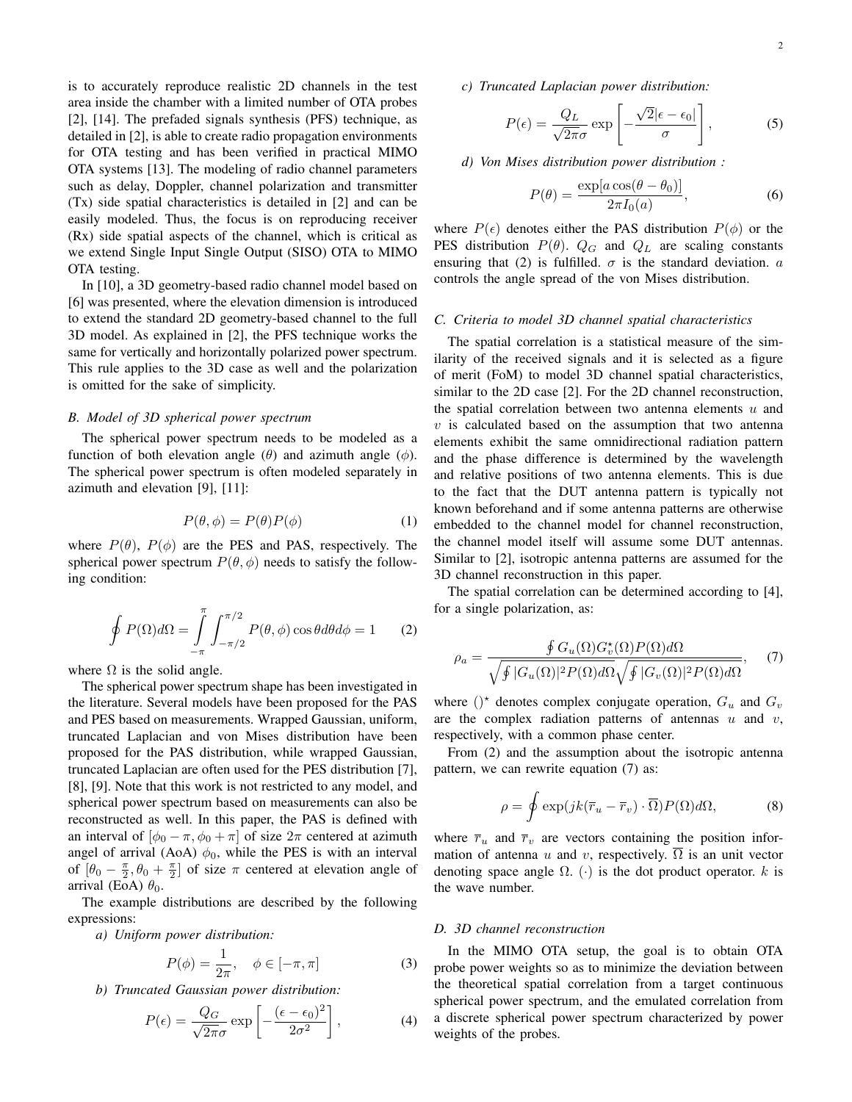is to accurately reproduce realistic 2D channels in the test area inside the chamber with a limited number of OTA probes [2], [14]. The prefaded signals synthesis (PFS) technique, as detailed in [2], is able to create radio propagation environments for OTA testing and has been verified in practical MIMO OTA systems [13]. The modeling of radio channel parameters such as delay, Doppler, channel polarization and transmitter (Tx) side spatial characteristics is detailed in [2] and can be easily modeled. Thus, the focus is on reproducing receiver (Rx) side spatial aspects of the channel, which is critical as we extend Single Input Single Output (SISO) OTA to MIMO OTA testing.

In [10], a 3D geometry-based radio channel model based on [6] was presented, where the elevation dimension is introduced to extend the standard 2D geometry-based channel to the full 3D model. As explained in [2], the PFS technique works the same for vertically and horizontally polarized power spectrum. This rule applies to the 3D case as well and the polarization is omitted for the sake of simplicity.

#### *B. Model of 3D spherical power spectrum*

The spherical power spectrum needs to be modeled as a function of both elevation angle ( $\theta$ ) and azimuth angle ( $\phi$ ). The spherical power spectrum is often modeled separately in azimuth and elevation [9], [11]:

$$
P(\theta, \phi) = P(\theta)P(\phi)
$$
 (1)

where  $P(\theta)$ ,  $P(\phi)$  are the PES and PAS, respectively. The spherical power spectrum  $P(\theta, \phi)$  needs to satisfy the following condition:

$$
\oint P(\Omega)d\Omega = \int_{-\pi}^{\pi} \int_{-\pi/2}^{\pi/2} P(\theta,\phi)\cos\theta d\theta d\phi = 1
$$
 (2)

where  $\Omega$  is the solid angle.

The spherical power spectrum shape has been investigated in the literature. Several models have been proposed for the PAS and PES based on measurements. Wrapped Gaussian, uniform, truncated Laplacian and von Mises distribution have been proposed for the PAS distribution, while wrapped Gaussian, truncated Laplacian are often used for the PES distribution [7], [8], [9]. Note that this work is not restricted to any model, and spherical power spectrum based on measurements can also be reconstructed as well. In this paper, the PAS is defined with an interval of  $[\phi_0 - \pi, \phi_0 + \pi]$  of size  $2\pi$  centered at azimuth angel of arrival (AoA)  $\phi_0$ , while the PES is with an interval of  $\left[\theta_0 - \frac{\pi}{2}, \theta_0 + \frac{\pi}{2}\right]$  of size  $\pi$  centered at elevation angle of arrival (EoA)  $\theta_0$ .

The example distributions are described by the following expressions:

*a) Uniform power distribution:*

$$
P(\phi) = \frac{1}{2\pi}, \quad \phi \in [-\pi, \pi]
$$
 (3)

*b) Truncated Gaussian power distribution:*

$$
P(\epsilon) = \frac{Q_G}{\sqrt{2\pi}\sigma} \exp\left[-\frac{(\epsilon - \epsilon_0)^2}{2\sigma^2}\right],\tag{4}
$$

*c) Truncated Laplacian power distribution:*

$$
P(\epsilon) = \frac{Q_L}{\sqrt{2\pi}\sigma} \exp\left[-\frac{\sqrt{2}|\epsilon - \epsilon_0|}{\sigma}\right],
$$
 (5)

*d) Von Mises distribution power distribution :*

$$
P(\theta) = \frac{\exp[a \cos(\theta - \theta_0)]}{2\pi I_0(a)},
$$
\n(6)

where  $P(\epsilon)$  denotes either the PAS distribution  $P(\phi)$  or the PES distribution  $P(\theta)$ .  $Q_G$  and  $Q_L$  are scaling constants ensuring that (2) is fulfilled.  $\sigma$  is the standard deviation. a controls the angle spread of the von Mises distribution.

# *C. Criteria to model 3D channel spatial characteristics*

The spatial correlation is a statistical measure of the similarity of the received signals and it is selected as a figure of merit (FoM) to model 3D channel spatial characteristics, similar to the 2D case [2]. For the 2D channel reconstruction, the spatial correlation between two antenna elements  $u$  and  $v$  is calculated based on the assumption that two antenna elements exhibit the same omnidirectional radiation pattern and the phase difference is determined by the wavelength and relative positions of two antenna elements. This is due to the fact that the DUT antenna pattern is typically not known beforehand and if some antenna patterns are otherwise embedded to the channel model for channel reconstruction, the channel model itself will assume some DUT antennas. Similar to [2], isotropic antenna patterns are assumed for the 3D channel reconstruction in this paper.

The spatial correlation can be determined according to [4], for a single polarization, as:

$$
\rho_a = \frac{\oint G_u(\Omega) G_v^*(\Omega) P(\Omega) d\Omega}{\sqrt{\oint |G_u(\Omega)|^2 P(\Omega) d\Omega} \sqrt{\oint |G_v(\Omega)|^2 P(\Omega) d\Omega}}, \quad (7)
$$

where ()<sup>\*</sup> denotes complex conjugate operation,  $G_u$  and  $G_v$ are the complex radiation patterns of antennas  $u$  and  $v$ , respectively, with a common phase center.

From (2) and the assumption about the isotropic antenna pattern, we can rewrite equation (7) as:

$$
\rho = \oint \exp(jk(\overline{r}_u - \overline{r}_v) \cdot \overline{\Omega}) P(\Omega) d\Omega, \tag{8}
$$

where  $\bar{r}_u$  and  $\bar{r}_v$  are vectors containing the position information of antenna u and v, respectively.  $\Omega$  is an unit vector denoting space angle  $\Omega$ . (·) is the dot product operator. k is the wave number.

# *D. 3D channel reconstruction*

In the MIMO OTA setup, the goal is to obtain OTA probe power weights so as to minimize the deviation between the theoretical spatial correlation from a target continuous spherical power spectrum, and the emulated correlation from a discrete spherical power spectrum characterized by power weights of the probes.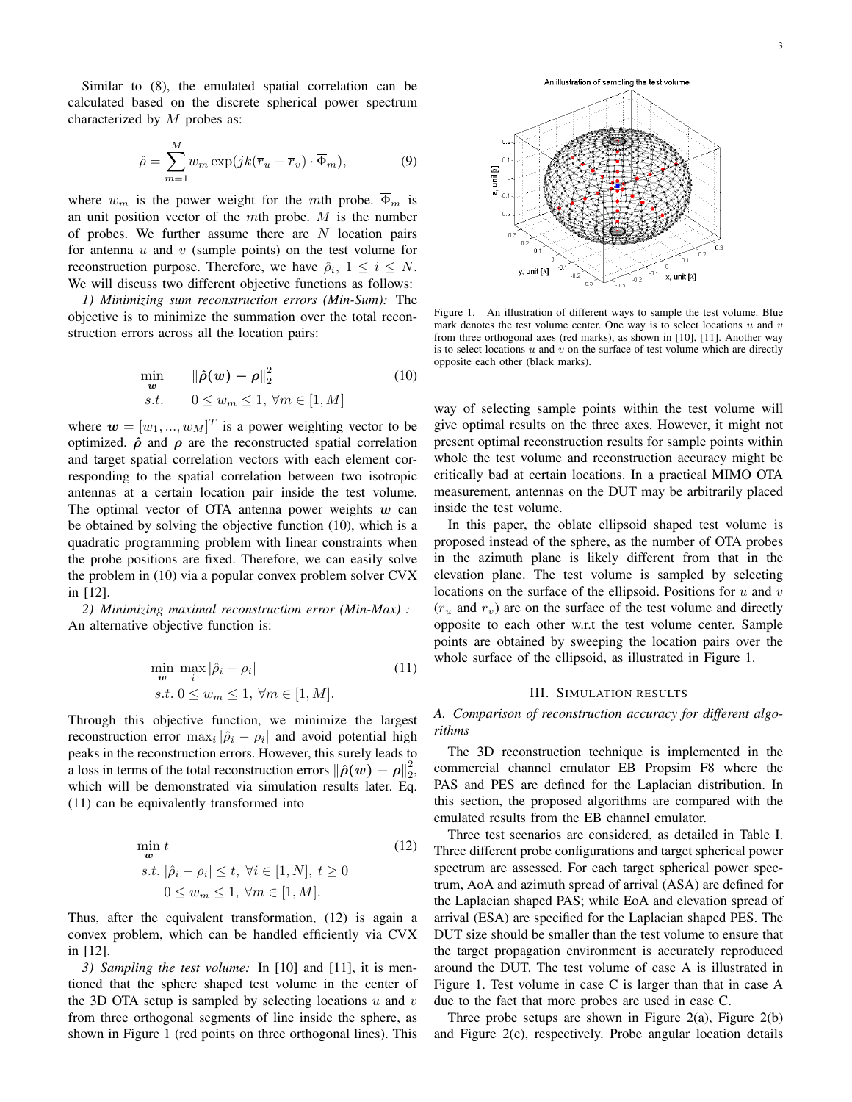Similar to (8), the emulated spatial correlation can be calculated based on the discrete spherical power spectrum characterized by  $M$  probes as:

$$
\hat{\rho} = \sum_{m=1}^{M} w_m \exp(jk(\overline{r}_u - \overline{r}_v) \cdot \overline{\Phi}_m),
$$
\n(9)

where  $w_m$  is the power weight for the mth probe.  $\overline{\Phi}_m$  is an unit position vector of the  $m$ th probe.  $M$  is the number of probes. We further assume there are  $N$  location pairs for antenna  $u$  and  $v$  (sample points) on the test volume for reconstruction purpose. Therefore, we have  $\hat{\rho}_i$ ,  $1 \leq i \leq N$ . We will discuss two different objective functions as follows:

*1) Minimizing sum reconstruction errors (Min-Sum):* The objective is to minimize the summation over the total reconstruction errors across all the location pairs:

$$
\min_{\mathbf{w}} \qquad \|\hat{\rho}(\mathbf{w}) - \rho\|_2^2 \tag{10}
$$
\n
$$
s.t. \qquad 0 \le w_m \le 1, \forall m \in [1, M]
$$

where  $\mathbf{w} = [w_1, ..., w_M]^T$  is a power weighting vector to be optimized.  $\hat{\rho}$  and  $\rho$  are the reconstructed spatial correlation and target spatial correlation vectors with each element corresponding to the spatial correlation between two isotropic antennas at a certain location pair inside the test volume. The optimal vector of OTA antenna power weights  $w$  can be obtained by solving the objective function (10), which is a quadratic programming problem with linear constraints when the probe positions are fixed. Therefore, we can easily solve the problem in (10) via a popular convex problem solver CVX in [12].

*2) Minimizing maximal reconstruction error (Min-Max) :* An alternative objective function is:

$$
\min_{\mathbf{w}} \max_{i} |\hat{\rho}_i - \rho_i|
$$
\n
$$
s.t. \ 0 \le w_m \le 1, \ \forall m \in [1, M].
$$
\n
$$
(11)
$$

Through this objective function, we minimize the largest reconstruction error  $\max_i |\hat{\rho}_i - \rho_i|$  and avoid potential high peaks in the reconstruction errors. However, this surely leads to a loss in terms of the total reconstruction errors  $\|\hat{\rho}(w) - \rho\|_2^2$ , which will be demonstrated via simulation results later. Eq. (11) can be equivalently transformed into

$$
\min_{\mathbf{w}} t
$$
\n
$$
s.t. |\hat{\rho}_i - \rho_i| \le t, \ \forall i \in [1, N], \ t \ge 0
$$
\n
$$
0 \le w_m \le 1, \ \forall m \in [1, M].
$$
\n
$$
(12)
$$

Thus, after the equivalent transformation, (12) is again a convex problem, which can be handled efficiently via CVX in [12].

*3) Sampling the test volume:* In [10] and [11], it is mentioned that the sphere shaped test volume in the center of the 3D OTA setup is sampled by selecting locations  $u$  and  $v$ from three orthogonal segments of line inside the sphere, as shown in Figure 1 (red points on three orthogonal lines). This 3



Figure 1. An illustration of different ways to sample the test volume. Blue mark denotes the test volume center. One way is to select locations  $u$  and  $v$ from three orthogonal axes (red marks), as shown in [10], [11]. Another way is to select locations  $u$  and  $v$  on the surface of test volume which are directly opposite each other (black marks).

way of selecting sample points within the test volume will give optimal results on the three axes. However, it might not present optimal reconstruction results for sample points within whole the test volume and reconstruction accuracy might be critically bad at certain locations. In a practical MIMO OTA measurement, antennas on the DUT may be arbitrarily placed inside the test volume.

In this paper, the oblate ellipsoid shaped test volume is proposed instead of the sphere, as the number of OTA probes in the azimuth plane is likely different from that in the elevation plane. The test volume is sampled by selecting locations on the surface of the ellipsoid. Positions for  $u$  and  $v$  $(\bar{r}_u$  and  $\bar{r}_v$ ) are on the surface of the test volume and directly opposite to each other w.r.t the test volume center. Sample points are obtained by sweeping the location pairs over the whole surface of the ellipsoid, as illustrated in Figure 1.

#### III. SIMULATION RESULTS

*A. Comparison of reconstruction accuracy for different algorithms*

The 3D reconstruction technique is implemented in the commercial channel emulator EB Propsim F8 where the PAS and PES are defined for the Laplacian distribution. In this section, the proposed algorithms are compared with the emulated results from the EB channel emulator.

Three test scenarios are considered, as detailed in Table I. Three different probe configurations and target spherical power spectrum are assessed. For each target spherical power spectrum, AoA and azimuth spread of arrival (ASA) are defined for the Laplacian shaped PAS; while EoA and elevation spread of arrival (ESA) are specified for the Laplacian shaped PES. The DUT size should be smaller than the test volume to ensure that the target propagation environment is accurately reproduced around the DUT. The test volume of case A is illustrated in Figure 1. Test volume in case C is larger than that in case A due to the fact that more probes are used in case C.

Three probe setups are shown in Figure 2(a), Figure 2(b) and Figure 2(c), respectively. Probe angular location details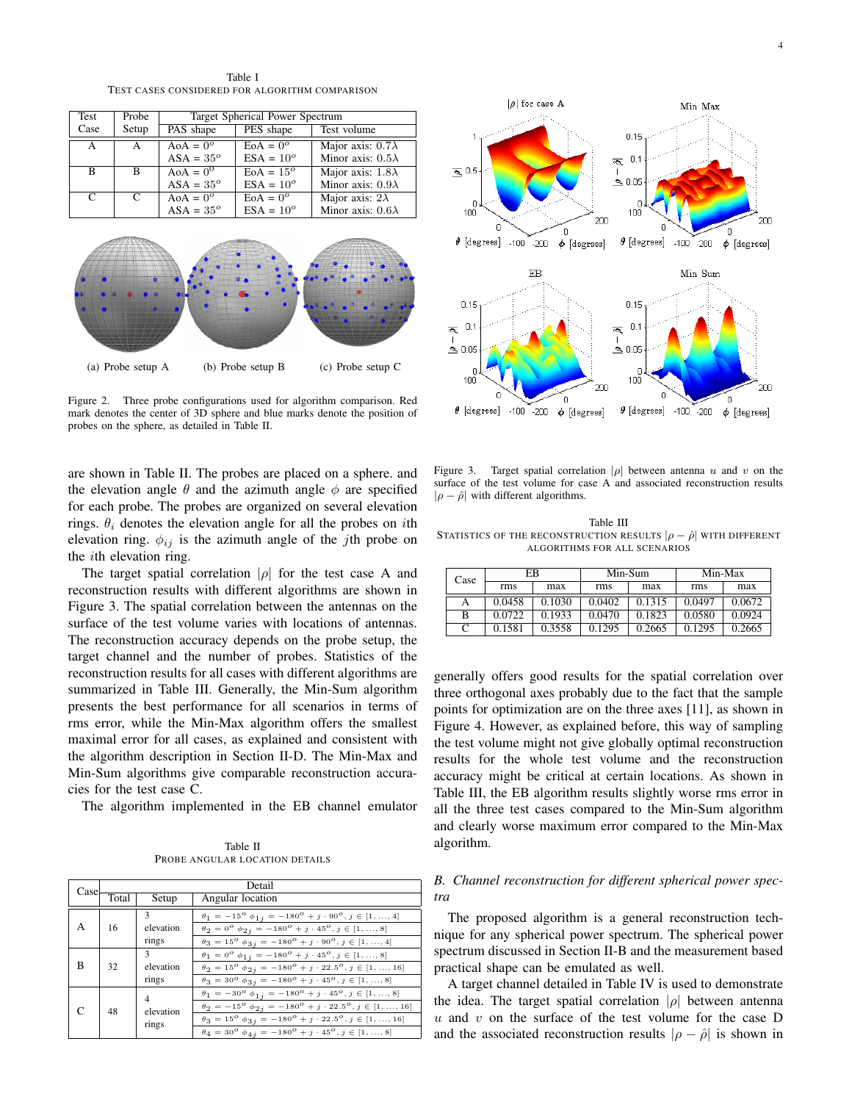Table I TEST CASES CONSIDERED FOR ALGORITHM COMPARISON

| Test         | Probe | Target Spherical Power Spectrum |                     |                          |  |  |
|--------------|-------|---------------------------------|---------------------|--------------------------|--|--|
| Case         | Setup | PAS shape                       | PES shape           | Test volume              |  |  |
| $\mathsf{A}$ | А     | $A \circ A = 0^{\circ}$         | $EoA = 0^{\circ}$   | Major axis: $0.7\lambda$ |  |  |
|              |       | $ASA = 35^{\circ}$              | $ESA = 10^{\circ}$  | Minor axis: $0.5\lambda$ |  |  |
| B            | B     | $A \circ A = 0^0$               | $E_0A = 15^{\circ}$ | Major axis: $1.8\lambda$ |  |  |
|              |       | $ASA = 35^{\circ}$              | $ESA = 10^{\circ}$  | Minor axis: $0.9\lambda$ |  |  |
| C            | C     | $A \circ A = 0^{\circ}$         | $E_0A = 0^\circ$    | Major axis: $2\lambda$   |  |  |
|              |       | $ASA = 35^{\circ}$              | $ESA = 10^{\circ}$  | Minor axis: $0.6\lambda$ |  |  |



Figure 2. Three probe configurations used for algorithm comparison. Red mark denotes the center of 3D sphere and blue marks denote the position of probes on the sphere, as detailed in Table II.

are shown in Table II. The probes are placed on a sphere. and the elevation angle  $\theta$  and the azimuth angle  $\phi$  are specified for each probe. The probes are organized on several elevation rings.  $\theta_i$  denotes the elevation angle for all the probes on *i*th elevation ring.  $\phi_{ij}$  is the azimuth angle of the *j*th probe on the ith elevation ring.

The target spatial correlation  $|\rho|$  for the test case A and reconstruction results with different algorithms are shown in Figure 3. The spatial correlation between the antennas on the surface of the test volume varies with locations of antennas. The reconstruction accuracy depends on the probe setup, the target channel and the number of probes. Statistics of the reconstruction results for all cases with different algorithms are summarized in Table III. Generally, the Min-Sum algorithm presents the best performance for all scenarios in terms of rms error, while the Min-Max algorithm offers the smallest maximal error for all cases, as explained and consistent with the algorithm description in Section II-D. The Min-Max and Min-Sum algorithms give comparable reconstruction accuracies for the test case C.

The algorithm implemented in the EB channel emulator

Table II PROBE ANGULAR LOCATION DETAILS

| Case | Detail |                                    |                                                                                                                                                                                                                                                                                                                                                                               |  |
|------|--------|------------------------------------|-------------------------------------------------------------------------------------------------------------------------------------------------------------------------------------------------------------------------------------------------------------------------------------------------------------------------------------------------------------------------------|--|
|      | Total  | Setup                              | Angular location                                                                                                                                                                                                                                                                                                                                                              |  |
| A    | 16     | 3<br>elevation<br>rings            | $\theta_1 = -15^{\circ} \phi_{1i} = -180^{\circ} + j \cdot 90^{\circ}, j \in [1, , 4]$<br>$\theta_2 = 0^{\circ} \phi_{2i} = -180^{\circ} + j \cdot 45^{\circ}, j \in [1, , 8]$<br>$\theta_3 = 15^{\circ} \phi_{3j} = -180^{\circ} + j \cdot 90^{\circ}, j \in [1, , 4]$                                                                                                       |  |
| B    | 32     | $\mathbf{3}$<br>elevation<br>rings | $\theta_1 = 0^{\circ} \phi_{1j} = -180^{\circ} + j \cdot 45^{\circ}, j \in [1, , 8]$<br>$\theta_2 = 15^{\circ} \phi_{2i} = -180^{\circ} + j \cdot 22.5^{\circ}, j \in [1, , 16]$<br>$\theta_3 = 30^{\circ} \phi_{3j} = -180^{\circ} + j \cdot 45^{\circ}, j \in [1, , 8]$                                                                                                     |  |
|      | 48     | 4<br>elevation<br>rings            | $\theta_1 = -30^{\circ} \phi_{1j} = -180^{\circ} + j \cdot 45^{\circ}, j \in [1, , 8]$<br>$\theta_2 = -15^{\circ} \phi_{2i} = -180^{\circ} + j \cdot 22.5^{\circ}, j \in [1, , 16]$<br>$\theta_3 = 15^{\circ} \phi_{3j} = -180^{\circ} + j \cdot 22.5^{\circ}, j \in [1, , 16]$<br>$\theta_4 = 30^{\circ}$ $\phi_{4j} = -180^{\circ} + j \cdot 45^{\circ}$ , $j \in [1, , 8]$ |  |



Figure 3. Target spatial correlation  $|\rho|$  between antenna u and v on the surface of the test volume for case A and associated reconstruction results  $|\rho - \hat{\rho}|$  with different algorithms.

Table III STATISTICS OF THE RECONSTRUCTION RESULTS  $|\rho - \hat{\rho}|$  with different ALGORITHMS FOR ALL SCENARIOS

| Case | ЕB     |        | Min-Sum |        | Min-Max |        |
|------|--------|--------|---------|--------|---------|--------|
|      | rms    | max    | rms     | max    | rms     | max    |
|      | 0.0458 | 0.1030 | 0.0402  | 0.1315 | 0.0497  | 0.0672 |
| B    | 0.0722 | 0.1933 | 0.0470  | 0.1823 | 0.0580  | 0.0924 |
|      | 0.1581 | 0.3558 | 0.1295  | 0.2665 | 0.1295  | 0.2665 |

generally offers good results for the spatial correlation over three orthogonal axes probably due to the fact that the sample points for optimization are on the three axes [11], as shown in Figure 4. However, as explained before, this way of sampling the test volume might not give globally optimal reconstruction results for the whole test volume and the reconstruction accuracy might be critical at certain locations. As shown in Table III, the EB algorithm results slightly worse rms error in all the three test cases compared to the Min-Sum algorithm and clearly worse maximum error compared to the Min-Max algorithm.

# *B. Channel reconstruction for different spherical power spectra*

The proposed algorithm is a general reconstruction technique for any spherical power spectrum. The spherical power spectrum discussed in Section II-B and the measurement based practical shape can be emulated as well.

A target channel detailed in Table IV is used to demonstrate the idea. The target spatial correlation  $|\rho|$  between antenna  $u$  and  $v$  on the surface of the test volume for the case D and the associated reconstruction results  $|\rho - \hat{\rho}|$  is shown in